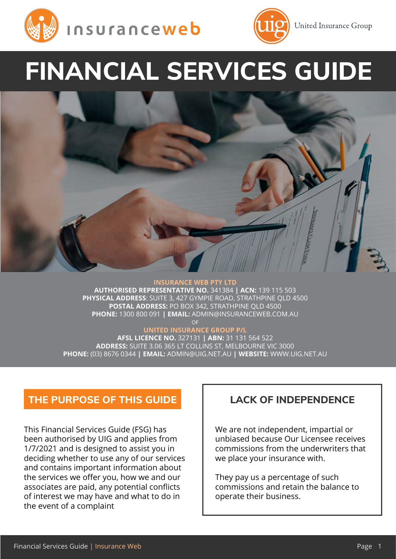



**United Insurance Group** 

# **FINANCIAL SERVICES GUIDE**

**INSURANCE WEB PTY LTD AUTHORISED REPRESENTATIVE NO.** 341384 **| ACN:** 139 115 503 **PHYSICAL ADDRESS**: SUITE 3, 427 GYMPIE ROAD, STRATHPINE QLD 4500 **POSTAL ADDRESS:** PO BOX 342, STRATHPINE QLD 4500 **PHONE:** 1300 800 091 **| EMAIL:** [ADMIN@INSURANCEWEB.COM.AU](mailto:%20ADMIN%40INSURANCEWEB.COM.AU%20?subject=) OF

#### **UNITED INSURANCE GROUP P/L**

**AFSL LICENCE NO.** 327131 **| ABN:** 31 131 564 522 **ADDRESS:** SUITE 3.06 365 LT COLLINS ST, MELBOURNE VIC 3000 **PHONE:** (03) 8676 0344 **| EMAIL:** [ADMIN@UIG.NET.AU](mailto:ADMIN%40UIG.NET.AU?subject=) **| WEBSITE:** [WWW.UIG.NET.AU](http://WWW.UIG.NET.AU)

# **THE PURPOSE OF THIS GUIDE LACK OF INDEPENDENCE**

This Financial Services Guide (FSG) has been authorised by UIG and applies from 1/7/2021 and is designed to assist you in deciding whether to use any of our services and contains important information about the services we offer you, how we and our associates are paid, any potential conflicts of interest we may have and what to do in the event of a complaint

We are not independent, impartial or unbiased because Our Licensee receives commissions from the underwriters that we place your insurance with.

They pay us a percentage of such commissions and retain the balance to operate their business.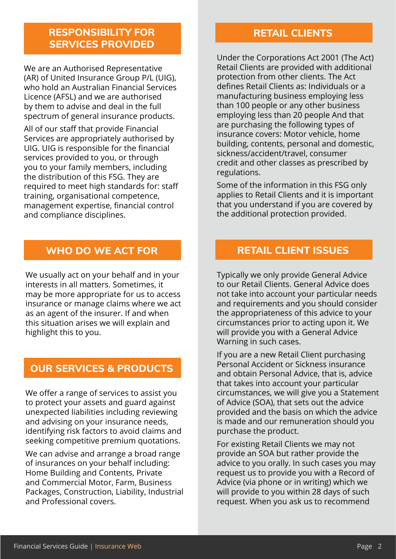# **RESPONSIBILITY FOR SERVICES PROVIDED**

We are an Authorised Representative (AR) of United Insurance Group P/L (UIG), who hold an Australian Financial Services Licence (AFSL) and we are authorised by them to advise and deal in the full spectrum of general insurance products.

All of our staff that provide Financial Services are appropriately authorised by UIG. UIG is responsible for the financial services provided to you, or through you to your family members, including the distribution of this FSG. They are required to meet high standards for: staff training, organisational competence, management expertise, financial control and compliance disciplines.

# **WHO DO WE ACT FOR RETAIL CLIENT ISSUES**

We usually act on your behalf and in your interests in all matters. Sometimes, it may be more appropriate for us to access insurance or manage claims where we act as an agent of the insurer. If and when this situation arises we will explain and highlight this to you.

# **OUR SERVICES & PRODUCTS**

We offer a range of services to assist you to protect your assets and guard against unexpected liabilities including reviewing and advising on your insurance needs, identifying risk factors to avoid claims and seeking competitive premium quotations.

We can advise and arrange a broad range of insurances on your behalf including: Home Building and Contents, Private and Commercial Motor, Farm, Business Packages, Construction, Liability, Industrial and Professional covers.

# **RETAIL CLIENTS**

Under the Corporations Act 2001 (The Act) Retail Clients are provided with additional protection from other clients. The Act defines Retail Clients as: Individuals or a manufacturing business employing less than 100 people or any other business employing less than 20 people And that are purchasing the following types of insurance covers: Motor vehicle, home building, contents, personal and domestic, sickness/accident/travel, consumer credit and other classes as prescribed by regulations.

Some of the information in this FSG only applies to Retail Clients and it is important that you understand if you are covered by the additional protection provided.

Typically we only provide General Advice to our Retail Clients. General Advice does not take into account your particular needs and requirements and you should consider the appropriateness of this advice to your circumstances prior to acting upon it. We will provide you with a General Advice Warning in such cases.

If you are a new Retail Client purchasing Personal Accident or Sickness insurance and obtain Personal Advice, that is, advice that takes into account your particular circumstances, we will give you a Statement of Advice (SOA), that sets out the advice provided and the basis on which the advice is made and our remuneration should you purchase the product.

For existing Retail Clients we may not provide an SOA but rather provide the advice to you orally. In such cases you may request us to provide you with a Record of Advice (via phone or in writing) which we will provide to you within 28 days of such request. When you ask us to recommend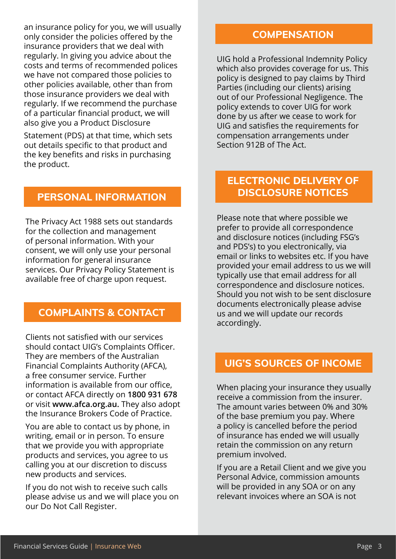an insurance policy for you, we will usually only consider the policies offered by the insurance providers that we deal with regularly. In giving you advice about the costs and terms of recommended polices we have not compared those policies to other policies available, other than from those insurance providers we deal with regularly. If we recommend the purchase of a particular financial product, we will also give you a Product Disclosure

Statement (PDS) at that time, which sets out details specific to that product and the key benefits and risks in purchasing the product.

## **PERSONAL INFORMATION**

The Privacy Act 1988 sets out standards for the collection and management of personal information. With your consent, we will only use your personal information for general insurance services. Our Privacy Policy Statement is available free of charge upon request.

## **COMPLAINTS & CONTACT**

Clients not satisfied with our services should contact UIG's Complaints Officer. They are members of the Australian Financial Complaints Authority (AFCA), a free consumer service. Further information is available from our office, or contact AFCA directly on **1800 931 678** or visit **[www.afca.org.au](http://www.afca.org.au).** They also adopt the Insurance Brokers Code of Practice.

You are able to contact us by phone, in writing, email or in person. To ensure that we provide you with appropriate products and services, you agree to us calling you at our discretion to discuss new products and services.

If you do not wish to receive such calls please advise us and we will place you on our Do Not Call Register.

## **COMPENSATION**

UIG hold a Professional Indemnity Policy which also provides coverage for us. This policy is designed to pay claims by Third Parties (including our clients) arising out of our Professional Negligence. The policy extends to cover UIG for work done by us after we cease to work for UIG and satisfies the requirements for compensation arrangements under Section 912B of The Act.

# **ELECTRONIC DELIVERY OF DISCLOSURE NOTICES**

Please note that where possible we prefer to provide all correspondence and disclosure notices (including FSG's and PDS's) to you electronically, via email or links to websites etc. If you have provided your email address to us we will typically use that email address for all correspondence and disclosure notices. Should you not wish to be sent disclosure documents electronically please advise us and we will update our records accordingly.

# **UIG'S SOURCES OF INCOME**

When placing your insurance they usually receive a commission from the insurer. The amount varies between 0% and 30% of the base premium you pay. Where a policy is cancelled before the period of insurance has ended we will usually retain the commission on any return premium involved.

If you are a Retail Client and we give you Personal Advice, commission amounts will be provided in any SOA or on any relevant invoices where an SOA is not